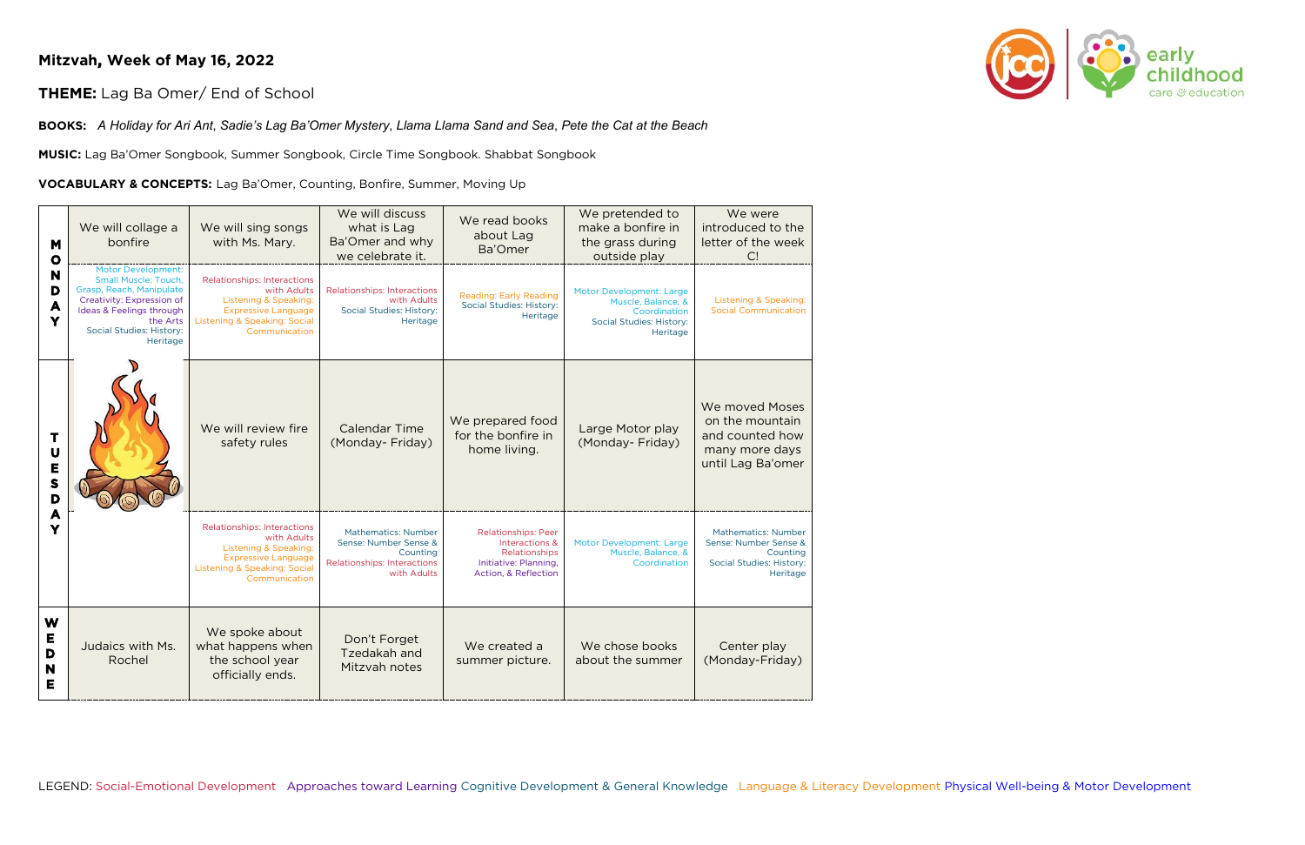## **Mitzvah, Week of May 16, 2022**

## **THEME:** Lag Ba Omer/ End of School

**BOOKS:** *A Holiday for Ari Ant*, *Sadie's Lag Ba'Omer Mystery*, *Llama Llama Sand and Sea*, *Pete the Cat at the Beach*

**MUSIC:** Lag Ba'Omer Songbook, Summer Songbook, Circle Time Songbook. Shabbat Songbook

## **VOCABULARY & CONCEPTS:** Lag Ba'Omer, Counting, Bonfire, Summer, Moving Up

| M<br>$\mathbf o$<br>N<br>D<br>A<br>Y | We will collage a<br>bonfire                                                                                                                                                                      | We will sing songs<br>with Ms. Mary.                                                                                                                                 | We will discuss<br>what is Lag<br>Ba'Omer and why<br>we celebrate it.                                                | We read books<br>about Lag<br>Ba'Omer                                                                          | We pretended to<br>make a bonfire in<br>the grass during<br>outside play                                      | We were<br>introduced to the<br>letter of the week<br>C!                                                |
|--------------------------------------|---------------------------------------------------------------------------------------------------------------------------------------------------------------------------------------------------|----------------------------------------------------------------------------------------------------------------------------------------------------------------------|----------------------------------------------------------------------------------------------------------------------|----------------------------------------------------------------------------------------------------------------|---------------------------------------------------------------------------------------------------------------|---------------------------------------------------------------------------------------------------------|
|                                      | <b>Motor Development:</b><br><b>Small Muscle: Touch,</b><br>Grasp, Reach, Manipulate<br>Creativity: Expression of<br>Ideas & Feelings through<br>the Arts<br>Social Studies: History:<br>Heritage | <b>Relationships: Interactions</b><br>with Adults<br>Listening & Speaking:<br><b>Expressive Language</b><br>Listening & Speaking: Social<br>Communication            | <b>Relationships: Interactions</b><br>with Adults<br>Social Studies: History:<br>Heritage                            | Reading: Early Reading<br>Social Studies: History:<br>Heritage                                                 | <b>Motor Development: Large</b><br>Muscle, Balance, &<br>Coordination<br>Social Studies: History:<br>Heritage | Listening & Speaking:<br><b>Social Communication</b>                                                    |
| Т<br>U<br>E<br>S<br>D                |                                                                                                                                                                                                   | We will review fire<br>safety rules                                                                                                                                  | <b>Calendar Time</b><br>(Monday- Friday)                                                                             | We prepared food<br>for the bonfire in<br>home living.                                                         | Large Motor play<br>(Monday- Friday)                                                                          | We moved Moses<br>on the mountain<br>and counted how<br>many more days<br>until Lag Ba'omer             |
| A<br>Y                               |                                                                                                                                                                                                   | <b>Relationships: Interactions</b><br>with Adults<br><b>Listening &amp; Speaking:</b><br><b>Expressive Language</b><br>Listening & Speaking: Social<br>Communication | <b>Mathematics: Number</b><br>Sense: Number Sense &<br>Counting<br><b>Relationships: Interactions</b><br>with Adults | <b>Relationships: Peer</b><br>Interactions &<br>Relationships<br>Initiative: Planning,<br>Action, & Reflection | <b>Motor Development: Large</b><br>Muscle, Balance, &<br>Coordination                                         | <b>Mathematics: Number</b><br>Sense: Number Sense &<br>Counting<br>Social Studies: History:<br>Heritage |
| W<br>Е<br>D<br>N<br>Е                | Judaics with Ms.<br>Rochel                                                                                                                                                                        | We spoke about<br>what happens when<br>the school year<br>officially ends.                                                                                           | Don't Forget<br>Tzedakah and<br>Mitzvah notes                                                                        | We created a<br>summer picture.                                                                                | We chose books<br>about the summer                                                                            | Center play<br>(Monday-Friday)                                                                          |